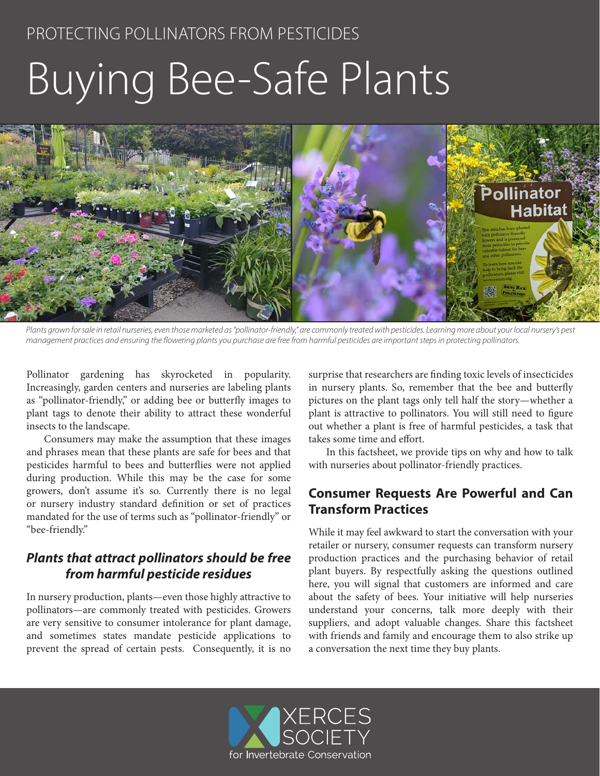# Buying Bee-Safe Plants



Plants grown for sale in retail nurseries, even those marketed as "pollinator-friendly," are commonly treated with pesticides. Learning more about your local nursery's pest *management practices and ensuring the flowering plants you purchase are free from harmful pesticides are important steps in protecting pollinators.*

Pollinator gardening has skyrocketed in popularity. Increasingly, garden centers and nurseries are labeling plants as "pollinator-friendly," or adding bee or butterfly images to plant tags to denote their ability to attract these wonderful insects to the landscape.

Consumers may make the assumption that these images and phrases mean that these plants are safe for bees and that pesticides harmful to bees and butterflies were not applied during production. While this may be the case for some growers, don't assume it's so. Currently there is no legal or nursery industry standard definition or set of practices mandated for the use of terms such as "pollinator-friendly" or "bee-friendly."

#### *Plants that attract pollinators should be free from harmful pesticide residues*

In nursery production, plants—even those highly attractive to pollinators—are commonly treated with pesticides. Growers are very sensitive to consumer intolerance for plant damage, and sometimes states mandate pesticide applications to prevent the spread of certain pests. Consequently, it is no

surprise that researchers are finding toxic levels of insecticides in nursery plants. So, remember that the bee and butterfly pictures on the plant tags only tell half the story—whether a plant is attractive to pollinators. You will still need to figure out whether a plant is free of harmful pesticides, a task that takes some time and effort.

In this factsheet, we provide tips on why and how to talk with nurseries about pollinator-friendly practices.

#### **Consumer Requests Are Powerful and Can Transform Practices**

While it may feel awkward to start the conversation with your retailer or nursery, consumer requests can transform nursery production practices and the purchasing behavior of retail plant buyers. By respectfully asking the questions outlined here, you will signal that customers are informed and care about the safety of bees. Your initiative will help nurseries understand your concerns, talk more deeply with their suppliers, and adopt valuable changes. Share this factsheet with friends and family and encourage them to also strike up a conversation the next time they buy plants.

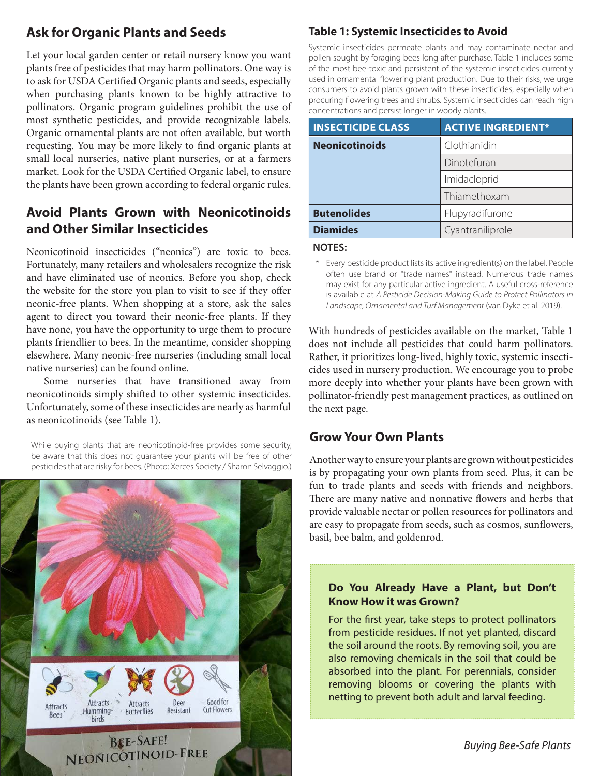## **Ask for Organic Plants and Seeds**

Let your local garden center or retail nursery know you want plants free of pesticides that may harm pollinators. One way is to ask for USDA Certified Organic plants and seeds, especially when purchasing plants known to be highly attractive to pollinators. Organic program guidelines prohibit the use of most synthetic pesticides, and provide recognizable labels. Organic ornamental plants are not often available, but worth requesting. You may be more likely to find organic plants at small local nurseries, native plant nurseries, or at a farmers market. Look for the USDA Certified Organic label, to ensure the plants have been grown according to federal organic rules.

#### **Avoid Plants Grown with Neonicotinoids and Other Similar Insecticides**

Neonicotinoid insecticides ("neonics") are toxic to bees. Fortunately, many retailers and wholesalers recognize the risk and have eliminated use of neonics. Before you shop, check the website for the store you plan to visit to see if they offer neonic-free plants. When shopping at a store, ask the sales agent to direct you toward their neonic-free plants. If they have none, you have the opportunity to urge them to procure plants friendlier to bees. In the meantime, consider shopping elsewhere. Many neonic-free nurseries (including small local native nurseries) can be found online.

Some nurseries that have transitioned away from neonicotinoids simply shifted to other systemic insecticides. Unfortunately, some of these insecticides are nearly as harmful as neonicotinoids (see Table 1).

While buying plants that are neonicotinoid-free provides some security, be aware that this does not guarantee your plants will be free of other pesticides that are risky for bees. (Photo: Xerces Society / Sharon Selvaggio.)



### **Table 1: Systemic Insecticides to Avoid**

Systemic insecticides permeate plants and may contaminate nectar and pollen sought by foraging bees long after purchase. Table 1 includes some of the most bee-toxic and persistent of the systemic insecticides currently used in ornamental flowering plant production. Due to their risks, we urge consumers to avoid plants grown with these insecticides, especially when procuring flowering trees and shrubs. Systemic insecticides can reach high concentrations and persist longer in woody plants.

| <b>INSECTICIDE CLASS</b> | <b>ACTIVE INGREDIENT*</b> |
|--------------------------|---------------------------|
| <b>Neonicotinoids</b>    | Clothianidin              |
|                          | Dinotefuran               |
|                          | Imidacloprid              |
|                          | Thiamethoxam              |
| <b>Butenolides</b>       | Flupyradifurone           |
| <b>Diamides</b>          | Cyantraniliprole          |

#### **NOTES:**

\* Every pesticide product lists its active ingredient(s) on the label. People often use brand or "trade names" instead. Numerous trade names may exist for any particular active ingredient. A useful cross-reference is available at *A Pesticide Decision-Making Guide to Protect Pollinators in Landscape, Ornamental and Turf Management* (van Dyke et al. 2019).

With hundreds of pesticides available on the market, Table 1 does not include all pesticides that could harm pollinators. Rather, it prioritizes long-lived, highly toxic, systemic insecticides used in nursery production. We encourage you to probe more deeply into whether your plants have been grown with pollinator-friendly pest management practices, as outlined on the next page.

#### **Grow Your Own Plants**

Another way to ensure your plants are grown without pesticides is by propagating your own plants from seed. Plus, it can be fun to trade plants and seeds with friends and neighbors. There are many native and nonnative flowers and herbs that provide valuable nectar or pollen resources for pollinators and are easy to propagate from seeds, such as cosmos, sunflowers, basil, bee balm, and goldenrod.

#### **Do You Already Have a Plant, but Don't Know How it was Grown?**

For the first year, take steps to protect pollinators from pesticide residues. If not yet planted, discard the soil around the roots. By removing soil, you are also removing chemicals in the soil that could be absorbed into the plant. For perennials, consider removing blooms or covering the plants with netting to prevent both adult and larval feeding.

*Buying Bee-Safe Plants*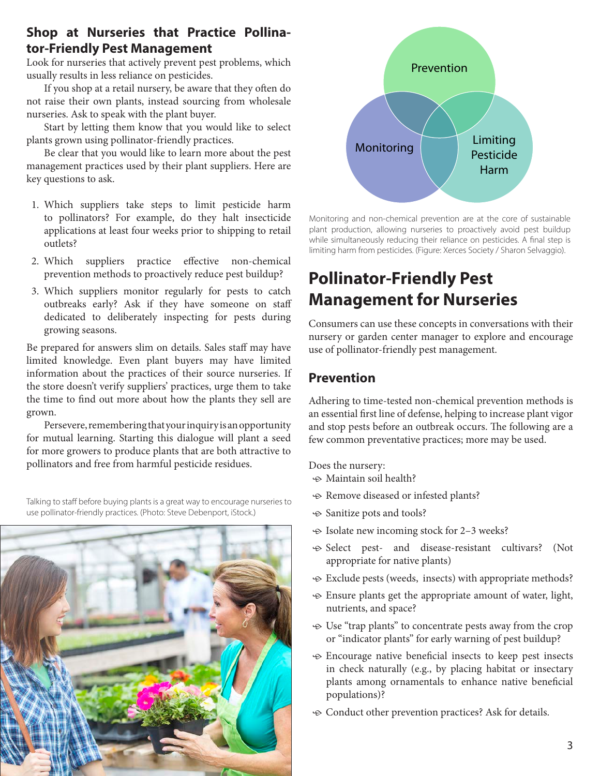#### **Shop at Nurseries that Practice Pollinator-Friendly Pest Management**

Look for nurseries that actively prevent pest problems, which usually results in less reliance on pesticides.

If you shop at a retail nursery, be aware that they often do not raise their own plants, instead sourcing from wholesale nurseries. Ask to speak with the plant buyer.

Start by letting them know that you would like to select plants grown using pollinator-friendly practices.

Be clear that you would like to learn more about the pest management practices used by their plant suppliers. Here are key questions to ask.

- 1. Which suppliers take steps to limit pesticide harm to pollinators? For example, do they halt insecticide applications at least four weeks prior to shipping to retail outlets?
- 2. Which suppliers practice effective non-chemical prevention methods to proactively reduce pest buildup?
- 3. Which suppliers monitor regularly for pests to catch outbreaks early? Ask if they have someone on staff dedicated to deliberately inspecting for pests during growing seasons.

Be prepared for answers slim on details. Sales staff may have limited knowledge. Even plant buyers may have limited information about the practices of their source nurseries. If the store doesn't verify suppliers' practices, urge them to take the time to find out more about how the plants they sell are grown.

Persevere, remembering that your inquiry is an opportunity for mutual learning. Starting this dialogue will plant a seed for more growers to produce plants that are both attractive to pollinators and free from harmful pesticide residues.

Talking to staff before buying plants is a great way to encourage nurseries to use pollinator-friendly practices. (Photo: Steve Debenport, iStock.)





Monitoring and non-chemical prevention are at the core of sustainable plant production, allowing nurseries to proactively avoid pest buildup while simultaneously reducing their reliance on pesticides. A final step is limiting harm from pesticides. (Figure: Xerces Society / Sharon Selvaggio).

## **Pollinator-Friendly Pest Management for Nurseries**

Consumers can use these concepts in conversations with their nursery or garden center manager to explore and encourage use of pollinator-friendly pest management.

#### **Prevention**

Adhering to time-tested non-chemical prevention methods is an essential first line of defense, helping to increase plant vigor and stop pests before an outbreak occurs. The following are a few common preventative practices; more may be used.

Does the nursery:

- $\odot$  Maintain soil health?
- $\triangle$  Remove diseased or infested plants?
- $\odot$  Sanitize pots and tools?
- $\odot$  Isolate new incoming stock for 2–3 weeks?
- $\odot$  Select pest- and disease-resistant cultivars? (Not appropriate for native plants)
- $\odot$  Exclude pests (weeds, insects) with appropriate methods?
- $\odot$  Ensure plants get the appropriate amount of water, light, nutrients, and space?
- $\odot$  Use "trap plants" to concentrate pests away from the crop or "indicator plants" for early warning of pest buildup?
- $\Theta$  Encourage native beneficial insects to keep pest insects in check naturally (e.g., by placing habitat or insectary plants among ornamentals to enhance native beneficial populations)?
- $\odot$  Conduct other prevention practices? Ask for details.